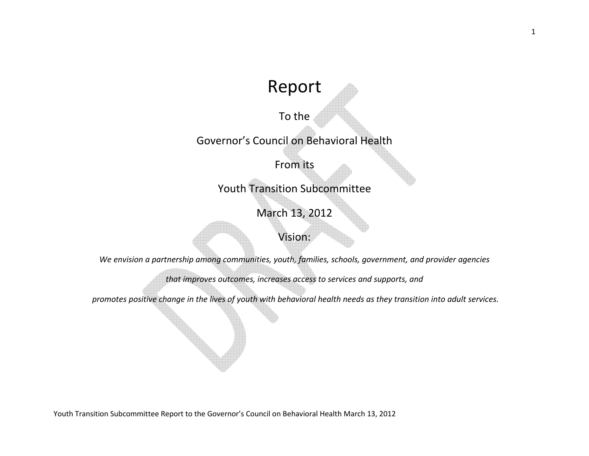# Report

# To the

# Governor's Council on Behavioral Health

# From its

# Youth Transition Subcommittee

# March 13, 2012

# Vision:

*We envision a partnership among communities, youth, families, schools, government, and provider agencies* 

*that improves outcomes, increases access to services and supports, and* 

 *promotes positive change in the lives of youth with behavioral health needs as they transition into adult services.*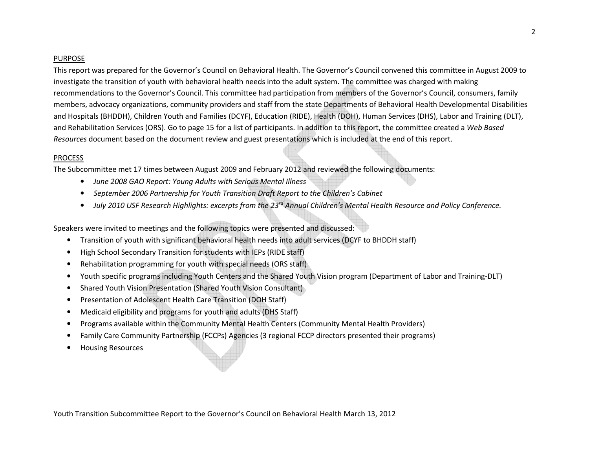#### PURPOSE

This report was prepared for the Governor's Council on Behavioral Health. The Governor's Council convened this committee in August 2009 to investigate the transition of youth with behavioral health needs into the adult system. The committee was charged with making recommendations to the Governor's Council. This committee had participation from members of the Governor's Council, consumers, family members, advocacy organizations, community providers and staff from the state Departments of Behavioral Health Developmental Disabilities and Hospitals (BHDDH), Children Youth and Families (DCYF), Education (RIDE), Health (DOH), Human Services (DHS), Labor and Training (DLT), and Rehabilitation Services (ORS). Go to page 15 for a list of participants. In addition to this report, the committee created a *Web Based Resources* document based on the document review and guest presentations which is included at the end of this report.

### PROCESS

The Subcommittee met 17 times between August 2009 and February 2012 and reviewed the following documents:

- *June 2008 GAO Report: Young Adults with Serious Mental Illness*
- $\bullet$ *September 2006 Partnership for Youth Transition Draft Report to the Children's Cabinet*
- *July 2010 USF Research Highlights: excerpts from the 23rd Annual Children's Mental Health Resource and Policy Conference.*

Speakers were invited to meetings and the following topics were presented and discussed:

- $\bullet$ Transition of youth with significant behavioral health needs into adult services (DCYF to BHDDH staff)
- •High School Secondary Transition for students with IEPs (RIDE staff)
- •Rehabilitation programming for youth with special needs (ORS staff)
- •Youth specific programs including Youth Centers and the Shared Youth Vision program (Department of Labor and Training-DLT)
- •Shared Youth Vision Presentation (Shared Youth Vision Consultant)
- •Presentation of Adolescent Health Care Transition (DOH Staff)
- •Medicaid eligibility and programs for youth and adults (DHS Staff)
- •Programs available within the Community Mental Health Centers (Community Mental Health Providers)
- •Family Care Community Partnership (FCCPs) Agencies (3 regional FCCP directors presented their programs)
- •Housing Resources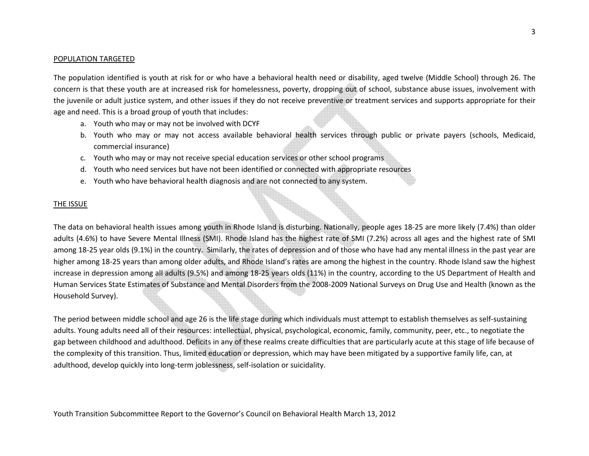#### POPULATION TARGETED

The population identified is youth at risk for or who have a behavioral health need or disability, aged twelve (Middle School) through 26. The concern is that these youth are at increased risk for homelessness, poverty, dropping out of school, substance abuse issues, involvement with the juvenile or adult justice system, and other issues if they do not receive preventive or treatment services and supports appropriate for their age and need. This is a broad group of youth that includes:

- a. Youth who may or may not be involved with DCYF
- b. Youth who may or may not access available behavioral health services through public or private payers (schools, Medicaid, commercial insurance)
- c. Youth who may or may not receive special education services or other school programs
- d. Youth who need services but have not been identified or connected with appropriate resources
- e. Youth who have behavioral health diagnosis and are not connected to any system.

### THE ISSUE

The data on behavioral health issues among youth in Rhode Island is disturbing. Nationally, people ages 18-25 are more likely (7.4%) than older adults (4.6%) to have Severe Mental Illness (SMI). Rhode Island has the highest rate of SMI (7.2%) across all ages and the highest rate of SMI among 18-25 year olds (9.1%) in the country. Similarly, the rates of depression and of those who have had any mental illness in the past year are higher among 18-25 years than among older adults, and Rhode Island's rates are among the highest in the country. Rhode Island saw the highest increase in depression among all adults (9.5%) and among 18-25 years olds (11%) in the country, according to the US Department of Health and Human Services State Estimates of Substance and Mental Disorders from the 2008-2009 National Surveys on Drug Use and Health (known as the Household Survey).

The period between middle school and age 26 is the life stage during which individuals must attempt to establish themselves as self-sustaining adults. Young adults need all of their resources: intellectual, physical, psychological, economic, family, community, peer, etc., to negotiate the gap between childhood and adulthood. Deficits in any of these realms create difficulties that are particularly acute at this stage of life because of the complexity of this transition. Thus, limited education or depression, which may have been mitigated by a supportive family life, can, at adulthood, develop quickly into long-term joblessness, self-isolation or suicidality.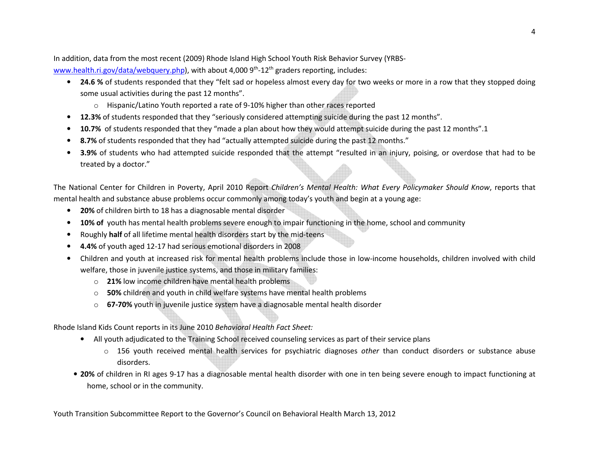In addition, data from the most recent (2009) Rhode Island High School Youth Risk Behavior Survey (YRBSwww.health.ri.gov/data/webquery.php), with about 4,000  $9<sup>th</sup>$ -12<sup>th</sup> graders reporting, includes:

- **24.6 %** of students responded that they "felt sad or hopeless almost every day for two weeks or more in a row that they stopped doing some usual activities during the past 12 months".
	- $\circ$  Hispanic/Latino Youth reported a rate of 9-10% higher than other races reported
- •**12.3%** of students responded that they "seriously considered attempting suicide during the past 12 months".
- •**10.7%** of students responded that they "made a plan about how they would attempt suicide during the past 12 months".1
- •**8.7%** of students responded that they had "actually attempted suicide during the past 12 months."
- • **3.9%** of students who had attempted suicide responded that the attempt "resulted in an injury, poising, or overdose that had to be treated by a doctor."

The National Center for Children in Poverty, April 2010 Report *Children's Mental Health: What Every Policymaker Should Know*, reports that mental health and substance abuse problems occur commonly among today's youth and begin at a young age:

- •**20%** of children birth to 18 has a diagnosable mental disorder
- •**10% of** youth has mental health problems severe enough to impair functioning in the home, school and community
- •Roughly **half** of all lifetime mental health disorders start by the mid-teens
- •**4.4%** of youth aged 12-17 had serious emotional disorders in 2008
- $\bullet$  Children and youth at increased risk for mental health problems include those in low-income households, children involved with child welfare, those in juvenile justice systems, and those in military families:
	- o **21%** low income children have mental health problems
	- o **50%** children and youth in child welfare systems have mental health problems
	- o **67-70%** youth in juvenile justice system have a diagnosable mental health disorder

Rhode Island Kids Count reports in its June 2010 *Behavioral Health Fact Sheet:* 

- All youth adjudicated to the Training School received counseling services as part of their service plans
	- o 156 youth received mental health services for psychiatric diagnoses *other* than conduct disorders or substance abuse disorders.
- **20%** of children in RI ages 9-17 has a diagnosable mental health disorder with one in ten being severe enough to impact functioning at home, school or in the community.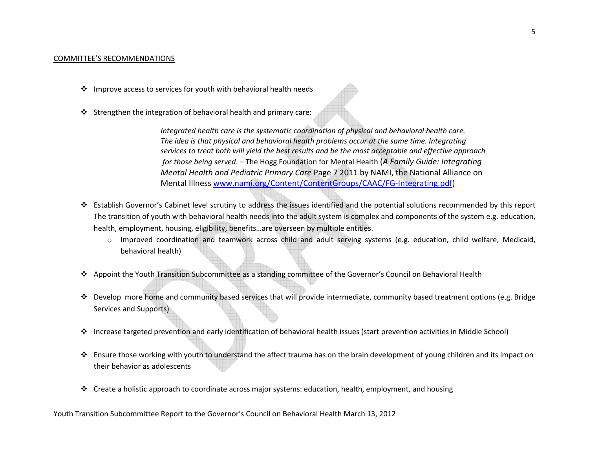#### COMMITTEE'S RECOMMENDATIONS

- $\clubsuit$  Improve access to services for youth with behavioral health needs
- Strengthen the integration of behavioral health and primary care:

*Integrated health care is the systematic coordination of physical and behavioral health care. The idea is that physical and behavioral health problems occur at the same time. Integrating services to treat both will yield the best results and be the most acceptable and effective approach for those being served*. – The Hogg Foundation for Mental Health (*A Family Guide: Integrating Mental Health and Pediatric Primary Care* Page 7 2011 by NAMI, the National Alliance on Mental Illness www.nami.org/Content/ContentGroups/CAAC/FG-Integrating.pdf)

- Establish Governor's Cabinet level scrutiny to address the issues identified and the potential solutions recommended by this report The transition of youth with behavioral health needs into the adult system is complex and components of the system e.g. education, health, employment, housing, eligibility, benefits…are overseen by multiple entities.
	- o Improved coordination and teamwork across child and adult serving systems (e.g. education, child welfare, Medicaid, behavioral health)
- Appoint the Youth Transition Subcommittee as a standing committee of the Governor's Council on Behavioral Health
- ◆ Develop more home and community based services that will provide intermediate, community based treatment options (e.g. Bridge community based treatment options (e.g. Bridge Services and Supports)
- ◆ Increase targeted prevention and early identification of behavioral health issues (start prevention activities in Middle School)
- Ensure those working with youth to understand the affect trauma has on the brain development of young children and its impact on their behavior as adolescents
- Create a holistic approach to coordinate across major systems: education, health, employment, and housing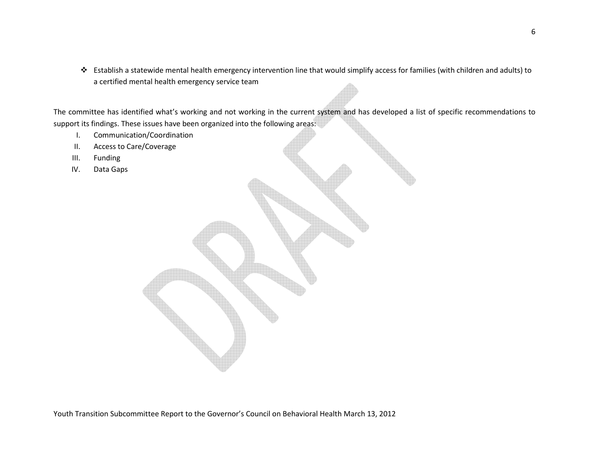Establish a statewide mental health emergency intervention line that would simplify access for families (with children and adults) to a certified mental health emergency service team

The committee has identified what's working and not working in the current system and has developed a list of specific recommendations to support its findings. These issues have been organized into the following areas:

- I.Communication/Coordination
- II.Access to Care/Coverage
- III.Funding
- IV.Data Gaps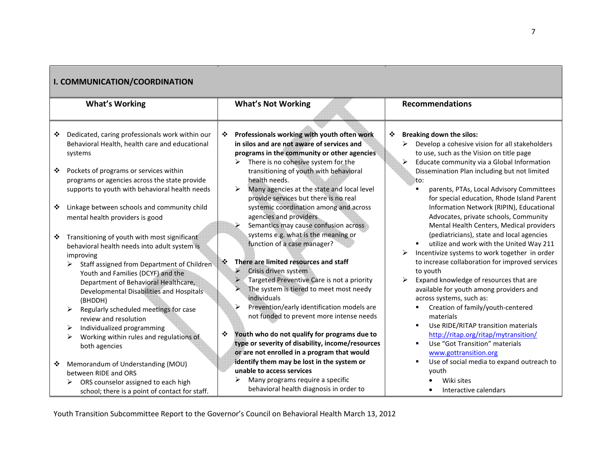|                       | <b>I. COMMUNICATION/COORDINATION</b>                                                                                                                                                                                                                                                                                                                                                                                                                                   |                                              |                                                                                                                                                                                                                                                                                                                                                                                                                                                                                          |                        |                                                                                                                                                                                                                                                                                                                                                                                                                                                                                                                                           |  |
|-----------------------|------------------------------------------------------------------------------------------------------------------------------------------------------------------------------------------------------------------------------------------------------------------------------------------------------------------------------------------------------------------------------------------------------------------------------------------------------------------------|----------------------------------------------|------------------------------------------------------------------------------------------------------------------------------------------------------------------------------------------------------------------------------------------------------------------------------------------------------------------------------------------------------------------------------------------------------------------------------------------------------------------------------------------|------------------------|-------------------------------------------------------------------------------------------------------------------------------------------------------------------------------------------------------------------------------------------------------------------------------------------------------------------------------------------------------------------------------------------------------------------------------------------------------------------------------------------------------------------------------------------|--|
| <b>What's Working</b> |                                                                                                                                                                                                                                                                                                                                                                                                                                                                        | <b>What's Not Working</b>                    |                                                                                                                                                                                                                                                                                                                                                                                                                                                                                          | <b>Recommendations</b> |                                                                                                                                                                                                                                                                                                                                                                                                                                                                                                                                           |  |
| ❖<br>❖<br>❖           | Dedicated, caring professionals work within our<br>Behavioral Health, health care and educational<br>systems<br>Pockets of programs or services within<br>programs or agencies across the state provide<br>supports to youth with behavioral health needs<br>Linkage between schools and community child<br>mental health providers is good                                                                                                                            | ❖<br>➤<br>➤<br>≻                             | Professionals working with youth often work<br>in silos and are not aware of services and<br>programs in the community or other agencies<br>There is no cohesive system for the<br>transitioning of youth with behavioral<br>health needs.<br>Many agencies at the state and local level<br>provide services but there is no real<br>systemic coordination among and across<br>agencies and providers<br>Semantics may cause confusion across                                            | ❖                      | <b>Breaking down the silos:</b><br>Develop a cohesive vision for all stakeholders<br>➤<br>to use, such as the Vision on title page<br>$\blacktriangleright$<br>Educate community via a Global Information<br>Dissemination Plan including but not limited<br>to:<br>parents, PTAs, Local Advisory Committees<br>٠<br>for special education, Rhode Island Parent<br>Information Network (RIPIN), Educational<br>Advocates, private schools, Community<br>Mental Health Centers, Medical providers                                          |  |
| ❖                     | Transitioning of youth with most significant<br>behavioral health needs into adult system is<br>improving<br>Staff assigned from Department of Children<br>➤<br>Youth and Families (DCYF) and the<br>Department of Behavioral Healthcare,<br>Developmental Disabilities and Hospitals<br>(BHDDH)<br>Regularly scheduled meetings for case<br>review and resolution<br>Individualized programming<br>➤<br>Working within rules and regulations of<br>≻<br>both agencies | $\ddot{\cdot}$<br>$\blacktriangleright$<br>❖ | systems e.g. what is the meaning or<br>function of a case manager?<br>There are limited resources and staff<br>Crisis driven system<br>Targeted Preventive Care is not a priority<br>The system is tiered to meet most needy<br>individuals<br>Prevention/early identification models are<br>not funded to prevent more intense needs<br>Youth who do not qualify for programs due to<br>type or severity of disability, income/resources<br>or are not enrolled in a program that would |                        | (pediatricians), state and local agencies<br>utilize and work with the United Way 211<br>٠<br>Incentivize systems to work together in order<br>to increase collaboration for improved services<br>to youth<br>Expand knowledge of resources that are<br>available for youth among providers and<br>across systems, such as:<br>Creation of family/youth-centered<br>materials<br>Use RIDE/RITAP transition materials<br>$\blacksquare$<br>http://ritap.org/ritap/mytransition/<br>Use "Got Transition" materials<br>www.gottransition.org |  |
| ❖                     | Memorandum of Understanding (MOU)<br>between RIDE and ORS<br>ORS counselor assigned to each high<br>school; there is a point of contact for staff.                                                                                                                                                                                                                                                                                                                     |                                              | identify them may be lost in the system or<br>unable to access services<br>Many programs require a specific<br>behavioral health diagnosis in order to                                                                                                                                                                                                                                                                                                                                   |                        | Use of social media to expand outreach to<br>$\blacksquare$<br>youth<br>Wiki sites<br>Interactive calendars                                                                                                                                                                                                                                                                                                                                                                                                                               |  |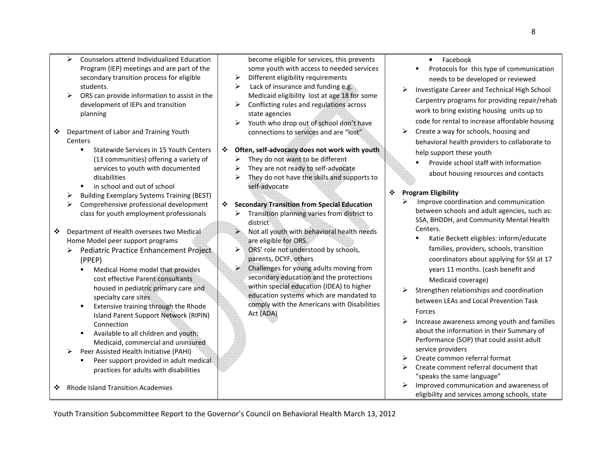- $\triangleright$  Counselors attend Individualized Education Program (IEP) meetings and are part of the secondary transition process for eligible students.
- ► ORS can provide information to assist in the development of IEPs and transition planning
- ❖ Department of Labor and Training Youth<br>Contars **Centers** 
	- **Statewide Services in 15 Youth Centers** (13 communities) offering a variety of services to youth with documented disabilities
	- in school and out of school
	- $\triangleright$ Building Exemplary Systems Training (BEST)
	- Comprehensive professional development class for youth employment professionals
- ❖ Department of Health oversees two Medical<br>Home Medel neer sunnert pregrams Home Model peer support programs
	- > Pediatric Practice Enhancement Project (PPEP)
		- $\mathbf{E}^{\text{max}}$  Medical Home model that provides cost effective Parent consultants housed in pediatric primary care and specialty care sites
		- $\mathbf{r}$  Extensive training through the Rhode Island Parent Support Network (RIPIN) **Connection**
		- **EXEQ Available to all children and youth:** Medicaid, commercial and uninsured
	- $\blacktriangleright$  Peer Assisted Health Initiative (PAHI)
		- $\mathbf{u}$  . Peer support provided in adult medical practices for adults with disabilities
- ❖ Rhode Island Transition Academies

become eligible for services, this prevents some youth with access to needed services

- $\blacktriangleright$ Different eligibility requirements
- $\blacktriangleright$ Lack of insurance and funding e.g. Medicaid eligibility lost at age 18 for some
- Conflicting rules and regulations across state agencies
- $\blacktriangleright$  Youth who drop out of school don't have connections to services and are "lost"
- **Often, self-advocacy does not work with youth** 
	- $\triangleright$  They do not want to be different
	- $\blacktriangleright$ They are not ready to self-advocate
	- $\blacktriangleright$  They do not have the skills and supports to self-advocate

# **Secondary Transition from Special Education**

- Transition planning varies from district to district
- $\blacktriangleright$  Not all youth with behavioral health needs are eligible for ORS.
- $\blacktriangleright$   $\vee$  ORS' role not understood by schools, parents, DCYF, others
- $\geq$  Challenges for young adults moving from secondary education and the protections within special education (IDEA) to higher education systems which are mandated to comply with the Americans with Disabilities Act (ADA)
- •Facebook
- $\mathbf{H}^{\text{max}}$  Protocols for this type of communication needs to be developed or reviewed
- Investigate Career and Technical High School Carpentry programs for providing repair/rehab work to bring existing housing units up to code for rental to increase affordable housing
- $\blacktriangleright$  Create a way for schools, housing and behavioral health providers to collaborate to help support these youth
	- $\blacksquare$  Provide school staff with information about housing resources and contacts

# **Program Eligibility**

- $\blacktriangleright$  Improve coordination and communication between schools and adult agencies, such as: SSA, BHDDH, and Community Mental Health Centers.
	- $\blacksquare$  Katie Beckett eligibles: inform/educate families, providers, schools, transition coordinators about applying for SSI at 17 years 11 months. (cash benefit and Medicaid coverage)
- > Strengthen relationships and coordination between LEAs and Local Prevention Task Forces
- Increase awareness among youth and families about the information in their Summary of Performance (SOP) that could assist adult service providers
- ► Create common referral format
- > Create comment referral document that<br>"speaks the same language" "speaks the same language"
- Improved communication and awareness of eligibility and services among schools, state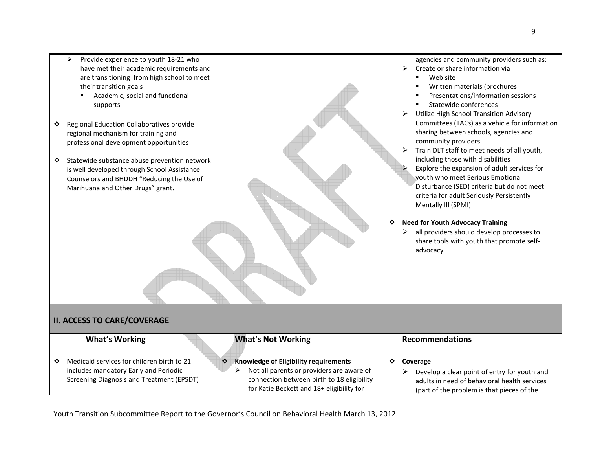

# **II. ACCESS TO CARE/COVERAGE**

|    | <b>What's Working</b>                                                                                                            | <b>What's Not Working</b>                                                                                                                                                     | <b>Recommendations</b>                                                                                                                                 |
|----|----------------------------------------------------------------------------------------------------------------------------------|-------------------------------------------------------------------------------------------------------------------------------------------------------------------------------|--------------------------------------------------------------------------------------------------------------------------------------------------------|
| ∙÷ | Medicaid services for children birth to 21<br>includes mandatory Early and Periodic<br>Screening Diagnosis and Treatment (EPSDT) | Knowledge of Eligibility requirements<br>Not all parents or providers are aware of<br>connection between birth to 18 eligibility<br>for Katie Beckett and 18+ eligibility for | Coverage<br>Develop a clear point of entry for youth and<br>adults in need of behavioral health services<br>(part of the problem is that pieces of the |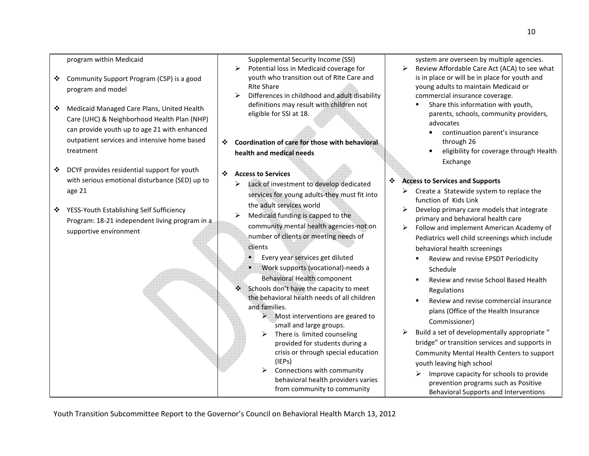#### program within Medicaid

- $\bullet$  Community Support Program (CSP) is a good program and model
- ◆ Medicaid Managed Care Plans, United Health Care (UHC) & Neighborhood Health Plan (NHP) can provide youth up to age 21 with enhanced outpatient services and intensive home based treatment
- $\bullet$  DCYF provides residential support for youth with serious emotional disturbance (SED) up to age 21
- **❖** YESS-Youth Establishing Self Sufficiency Program: 18-21 independent living program in a supportive environment

Supplemental Security Income (SSI)

- Potential loss in Medicaid coverage for youth who transition out of RIte Care and RIte Share
- $\blacktriangleright$  Differences in childhood and adult disability definitions may result with children not eligible for SSI at 18.
- **Coordination of care for those with behavioral health and medical needs**
- **Access to Services**

П

- Lack of investment to develop dedicated services for young adults-they must fit into the adult services world
- $\blacktriangleright$  Medicaid funding is capped to the community mental health agencies-not on number of clients or meeting needs of clients
	- Every year services get diluted
	- $\blacksquare$  Work supports (vocational)-needs a Behavioral Health component
- ❖ Schools don't have the capacity to meet the behavioral health needs of all children and families.
	- > Most interventions are geared to small and large groups.
	- > There is limited counseling provided for students during a crisis or through special education (IEPs)
	- $\blacktriangleright$  Connections with community behavioral health providers varies from community to community

system are overseen by multiple agencies.

- Review Affordable Care Act (ACA) to see what is in place or will be in place for youth and young adults to maintain Medicaid or commercial insurance coverage.
	- П Share this information with youth, parents, schools, community providers, advocates
		- • continuation parent's insurance through 26
		- • eligibility for coverage through Health Exchange

#### $\cdot$ **Access to Services and Supports**

- $\triangleright$  Create a Statewide system to replace the function of Kids Link
- Develop primary care models that integrate primary and behavioral health care
- Follow and implement American Academy of Pediatrics well child screenings which include behavioral health screenings
	- П Review and revise EPSDT Periodicity Schedule
	- П Review and revise School Based Health Regulations
	- П Review and revise commercial insurance plans (Office of the Health Insurance Commissioner)
- $\blacktriangleright$  Build a set of developmentally appropriate " bridge" or transition services and supports in Community Mental Health Centers to support youth leaving high school
	- $\blacktriangleright$  Improve capacity for schools to provide prevention programs such as Positive Behavioral Supports and Interventions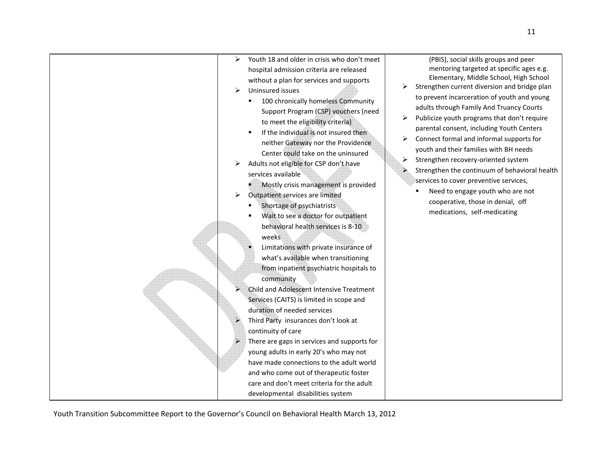| Youth 18 and older in crisis who don't meet<br>➤<br>hospital admission criteria are released<br>without a plan for services and supports<br>Uninsured issues<br>➤<br>100 chronically homeless Community<br>Support Program (CSP) vouchers (need<br>to meet the eligibility criteria)<br>If the individual is not insured then<br>$\blacksquare$<br>neither Gateway nor the Providence<br>Center could take on the uninsured<br>Adults not eligible for CSP don't have<br>services available<br>Mostly crisis management is provided<br>➤<br>Outpatient services are limited<br>Shortage of psychiatrists<br>Wait to see a doctor for outpatient<br>behavioral health services is 8-10<br>weeks<br>Limitations with private insurance of<br>what's available when transitioning<br>from inpatient psychiatric hospitals to<br>community<br>Child and Adolescent Intensive Treatment<br>Services (CAITS) is limited in scope and<br>duration of needed services<br>Third Party insurances don't look at<br>continuity of care<br>There are gaps in services and supports for<br>young adults in early 20's who may not<br>have made connections to the adult world<br>and who come out of therapeutic foster<br>care and don't meet criteria for the adult<br>developmental disabilities system | (PBIS), social skills groups and peer<br>mentoring targeted at specific ages e.g.<br>Elementary, Middle School, High School<br>Strengthen current diversion and bridge plan<br>➤<br>to prevent incarceration of youth and young<br>adults through Family And Truancy Courts<br>Publicize youth programs that don't require<br>➤<br>parental consent, including Youth Centers<br>Connect formal and informal supports for<br>youth and their families with BH needs<br>Strengthen recovery-oriented system<br>➤<br>Strengthen the continuum of behavioral health<br>services to cover preventive services,<br>Need to engage youth who are not<br>cooperative, those in denial, off<br>medications, self-medicating |
|-----------------------------------------------------------------------------------------------------------------------------------------------------------------------------------------------------------------------------------------------------------------------------------------------------------------------------------------------------------------------------------------------------------------------------------------------------------------------------------------------------------------------------------------------------------------------------------------------------------------------------------------------------------------------------------------------------------------------------------------------------------------------------------------------------------------------------------------------------------------------------------------------------------------------------------------------------------------------------------------------------------------------------------------------------------------------------------------------------------------------------------------------------------------------------------------------------------------------------------------------------------------------------------------------|--------------------------------------------------------------------------------------------------------------------------------------------------------------------------------------------------------------------------------------------------------------------------------------------------------------------------------------------------------------------------------------------------------------------------------------------------------------------------------------------------------------------------------------------------------------------------------------------------------------------------------------------------------------------------------------------------------------------|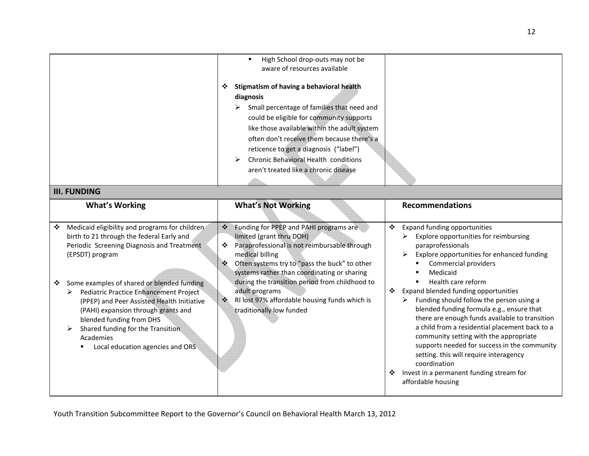|   |                                                                                                                                                                                                                                                                                             | High School drop-outs may not be<br>$\blacksquare$<br>aware of resources available<br>Stigmatism of having a behavioral health<br>❖<br>diagnosis<br>Small percentage of families that need and<br>➤<br>could be eligible for community supports<br>like those available within the adult system<br>often don't receive them because there's a<br>reticence to get a diagnosis ("label")<br>Chronic Behavioral Health conditions<br>➤<br>aren't treated like a chronic disease |                                                                                                                                                                                                                                                                                                                                                                                                                                                                                                               |  |  |
|---|---------------------------------------------------------------------------------------------------------------------------------------------------------------------------------------------------------------------------------------------------------------------------------------------|-------------------------------------------------------------------------------------------------------------------------------------------------------------------------------------------------------------------------------------------------------------------------------------------------------------------------------------------------------------------------------------------------------------------------------------------------------------------------------|---------------------------------------------------------------------------------------------------------------------------------------------------------------------------------------------------------------------------------------------------------------------------------------------------------------------------------------------------------------------------------------------------------------------------------------------------------------------------------------------------------------|--|--|
|   | <b>III. FUNDING</b>                                                                                                                                                                                                                                                                         |                                                                                                                                                                                                                                                                                                                                                                                                                                                                               |                                                                                                                                                                                                                                                                                                                                                                                                                                                                                                               |  |  |
|   | <b>What's Working</b>                                                                                                                                                                                                                                                                       | <b>What's Not Working</b>                                                                                                                                                                                                                                                                                                                                                                                                                                                     | <b>Recommendations</b>                                                                                                                                                                                                                                                                                                                                                                                                                                                                                        |  |  |
| ❖ | Medicaid eligibility and programs for children<br>birth to 21 through the federal Early and<br>Periodic Screening Diagnosis and Treatment<br>(EPSDT) program                                                                                                                                | Funding for PPEP and PAHI programs are<br>❖<br>limited (grant thru DOH)<br>Paraprofessional is not reimbursable through<br>❖<br>medical billing<br>Often systems try to "pass the buck" to other<br>❖<br>systems rather than coordinating or sharing                                                                                                                                                                                                                          | <b>Expand funding opportunities</b><br>❖<br>Explore opportunities for reimbursing<br>➤<br>paraprofessionals<br>Explore opportunities for enhanced funding<br>Commercial providers<br>Medicaid                                                                                                                                                                                                                                                                                                                 |  |  |
| ❖ | Some examples of shared or blended funding<br>Pediatric Practice Enhancement Project<br>(PPEP) and Peer Assisted Health Initiative<br>(PAHI) expansion through grants and<br>blended funding from DHS<br>Shared funding for the Transition<br>Academies<br>Local education agencies and ORS | during the transition period from childhood to<br>adult programs<br>RI lost 97% affordable housing funds which is<br>$\ddot{\cdot}$<br>traditionally low funded                                                                                                                                                                                                                                                                                                               | Health care reform<br>٠<br>Expand blended funding opportunities<br>❖<br>$\triangleright$ Funding should follow the person using a<br>blended funding formula e.g., ensure that<br>there are enough funds available to transition<br>a child from a residential placement back to a<br>community setting with the appropriate<br>supports needed for success in the community<br>setting. this will require interagency<br>coordination<br>Invest in a permanent funding stream for<br>❖<br>affordable housing |  |  |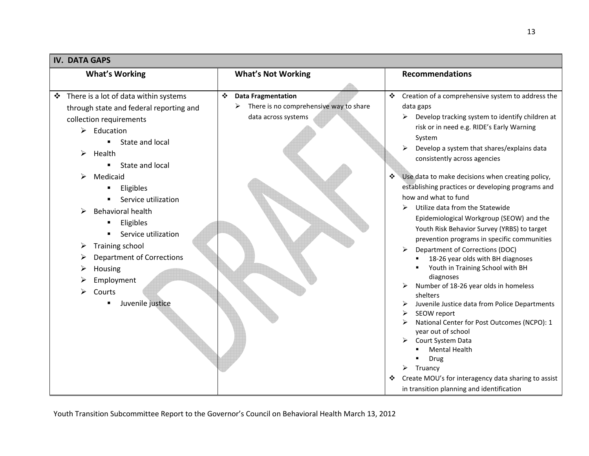| <b>IV. DATA GAPS</b>                       |                                        |                                                                            |  |
|--------------------------------------------|----------------------------------------|----------------------------------------------------------------------------|--|
| <b>What's Working</b>                      | <b>What's Not Working</b>              | <b>Recommendations</b>                                                     |  |
|                                            |                                        |                                                                            |  |
| There is a lot of data within systems<br>❖ | ❖<br><b>Data Fragmentation</b>         | Creation of a comprehensive system to address the<br>❖                     |  |
| through state and federal reporting and    | There is no comprehensive way to share | data gaps                                                                  |  |
| collection requirements                    | data across systems                    | Develop tracking system to identify children at<br>➤                       |  |
| Education<br>➤                             |                                        | risk or in need e.g. RIDE's Early Warning                                  |  |
| State and local                            |                                        | System                                                                     |  |
| Health<br>➤                                |                                        | Develop a system that shares/explains data<br>consistently across agencies |  |
| State and local                            |                                        |                                                                            |  |
| Medicaid<br>⋗                              |                                        | Use data to make decisions when creating policy,                           |  |
| Eligibles                                  |                                        | establishing practices or developing programs and                          |  |
| Service utilization                        |                                        | how and what to fund                                                       |  |
| Behavioral health                          |                                        | Utilize data from the Statewide<br>≻                                       |  |
| Eligibles                                  |                                        | Epidemiological Workgroup (SEOW) and the                                   |  |
| Service utilization                        |                                        | Youth Risk Behavior Survey (YRBS) to target                                |  |
|                                            |                                        | prevention programs in specific communities                                |  |
| Training school<br>➤                       |                                        | Department of Corrections (DOC)                                            |  |
| <b>Department of Corrections</b>           |                                        | 18-26 year olds with BH diagnoses                                          |  |
| Housing                                    |                                        | Youth in Training School with BH<br>diagnoses                              |  |
| Employment                                 |                                        | Number of 18-26 year olds in homeless                                      |  |
| Courts                                     |                                        | shelters                                                                   |  |
| Juvenile justice                           |                                        | Juvenile Justice data from Police Departments                              |  |
|                                            |                                        | SEOW report                                                                |  |
|                                            |                                        | National Center for Post Outcomes (NCPO): 1                                |  |
|                                            |                                        | year out of school<br>Court System Data                                    |  |
|                                            |                                        | <b>Mental Health</b>                                                       |  |
|                                            |                                        | Drug                                                                       |  |
|                                            |                                        | Truancy<br>➤                                                               |  |
|                                            |                                        | Create MOU's for interagency data sharing to assist<br>❖                   |  |
|                                            |                                        | in transition planning and identification                                  |  |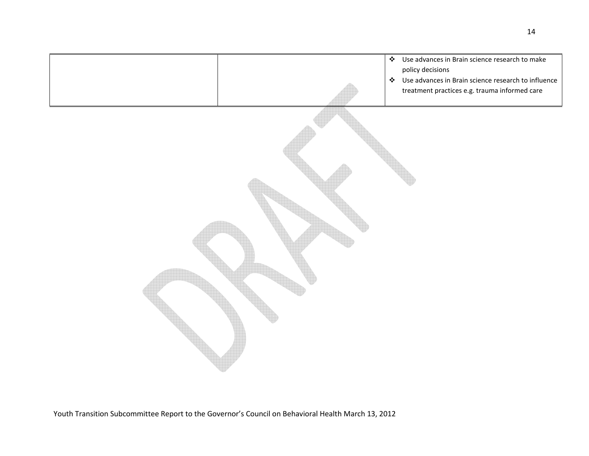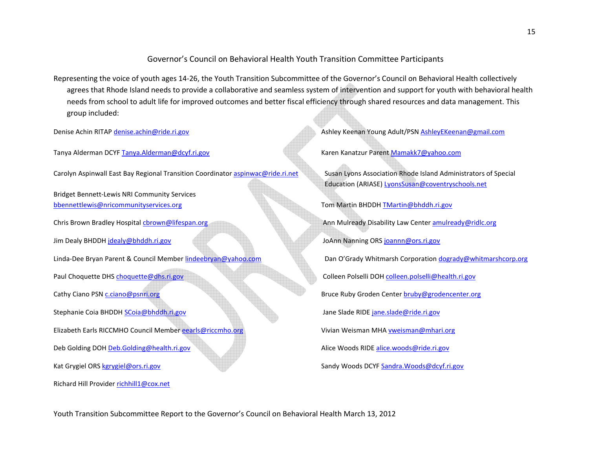### Governor's Council on Behavioral Health Youth Transition Committee Participants

Representing the voice of youth ages 14-26, the Youth Transition Subcommittee of the Governor's Council on Behavioral Health collectively agrees that Rhode Island needs to provide a collaborative and seamless system of intervention and support for youth with behavioral health needs from school to adult life for improved outcomes and better fiscal efficiency through shared resources and data management. This group included:

Tanya Alderman DCYF Tanya.Alderman@dcyf.ri.gov Kanatzur Parent Mamakk7@yahoo.com

Carolyn Aspinwall East Bay Regional Transition Coordinator aspinwac@ride.ri.net Susan Lyons Association Rhode Island Administrators of Special

Bridget Bennett-Lewis NRI Community Services bbennettlewis@nricommunityservices.org Tom Martin BHDDH TMartin @bhddh.ri.gov

Paul Choquette DHS choquette@dhs.ri.gov Colleen Polselli DOH colleen.polselli@health.ri.gov Cathy Ciano PSN c.ciano@psnri.org **Bruce Ruby Groden Center bruby@grodencenter.org** Bruce Ruby Groden Center bruby@grodencenter.org Stephanie Coia BHDDH SCoia@bhddh.ri.gov Jane Slade RIDE jane.slade@ride.ri.govElizabeth Earls RICCMHO Council Member eearls@riccmho.org Vivian Weisman MHA vweisman@mhari.org Deb Golding DOH Deb.Golding@health.ri.gov Alice Woods RIDE alice.woods@ride.ri.gov

Richard Hill Provider richhill1@cox.net

Denise Achin RITAP denise.achin@ride.ri.gov Ashley Ashley Keenan Young Adult/PSN AshleyEKeenan@gmail.com

 Education (ARIASE) LyonsSusan@coventryschools.netChris Brown Bradley Hospital chrown@lifespan.org Ann Mulready Disability Law Center amulready@ridlc.org Ann Mulready Disability Law Center amulready@ridlc.org Jim Dealy BHDDH jdealy@bhddh.ri.gov JoAnn Nanning ORS joannn@ors.ri.govLinda-Dee Bryan Parent & Council Member lindeebryan@yahoo.com Dan O'Grady Whitmarsh Corporation dogrady@whitmarshcorp.org**Kat Grygiel ORS kgrygiel@ors.ri.gov Sandy Woods DCYF Sandra.Woods@dcyf.ri.gov** Sandy Woods DCYF Sandra.Woods@dcyf.ri.gov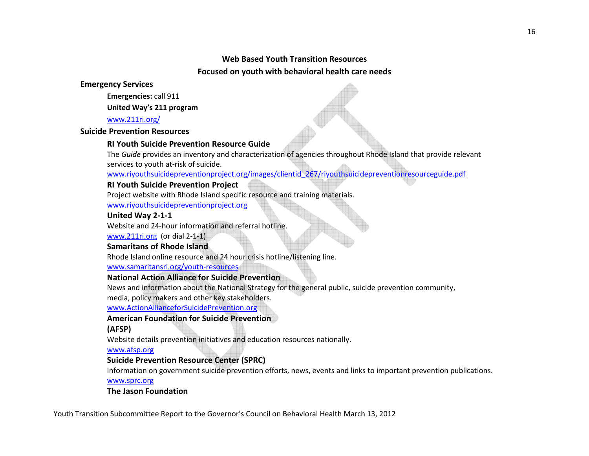### **Web Based Youth Transition Resources**

### **Focused on youth with behavioral health care needs**

**Emergency Services** 

 **Emergencies:** call 911

 **United Way's 211 program** 

www.211ri.org/

**Suicide Prevention Resources** 

# **RI Youth Suicide Prevention Resource Guide**

The *Guide* provides an inventory and characterization of agencies throughout Rhode Island that provide relevant services to youth at-risk of suicide.

www.riyouthsuicidepreventionproject.org/images/clientid\_267/riyouthsuicidepreventionresourceguide.pdf

# **RI Youth Suicide Prevention Project**

Project website with Rhode Island specific resource and training materials.

www.riyouthsuicidepreventionproject.org

# **United Way 2-1-1**

Website and 24-hour information and referral hotline.

www.211ri.org (or dial 2-1-1)

# **Samaritans of Rhode Island**

Rhode Island online resource and 24 hour crisis hotline/listening line.

www.samaritansri.org/youth-resources

# **National Action Alliance for Suicide Prevention**

News and information about the National Strategy for the general public, suicide prevention community,

media, policy makers and other key stakeholders.

www.ActionAllianceforSuicidePrevention.org

# **American Foundation for Suicide Prevention**

**(AFSP)** 

Website details prevention initiatives and education resources nationally.

www.afsp.org

# **Suicide Prevention Resource Center (SPRC)**

Information on government suicide prevention efforts, news, events and links to important prevention publications.

www.sprc.org

# **The Jason Foundation**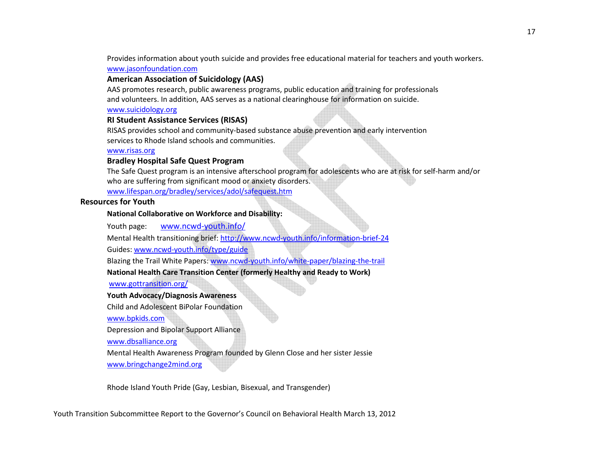Provides information about youth suicide and provides free educational material for teachers and youth workers. www.jasonfoundation.com

### **American Association of Suicidology (AAS)**

AAS promotes research, public awareness programs, public education and training for professionals and volunteers. In addition, AAS serves as a national clearinghouse for information on suicide.

#### www.suicidology.org

### **RI Student Assistance Services (RISAS)**

RISAS provides school and community-based substance abuse prevention and early intervention services to Rhode Island schools and communities.

#### www.risas.org

### **Bradley Hospital Safe Quest Program**

The Safe Quest program is an intensive afterschool program for adolescents who are at risk for self-harm and/or who are suffering from significant mood or anxiety disorders. www.lifespan.org/bradley/services/adol/safequest.htm

#### **Resources for Youth**

#### **National Collaborative on Workforce and Disability:**

Youth page: www.ncwd-youth.info/

Mental Health transitioning brief: http://www.ncwd-youth.info/information-brief-24 Guides: www.ncwd-youth.info/type/guide

Blazing the Trail White Papers: www.ncwd-youth.info/white-paper/blazing-the-trail

**National Health Care Transition Center (formerly Healthy and Ready to Work)** 

www.gottransition.org/

### **Youth Advocacy/Diagnosis Awareness**

Child and Adolescent BiPolar Foundation

www.bpkids.com

Depression and Bipolar Support Alliance

www.dbsalliance.org

 Mental Health Awareness Program founded by Glenn Close and her sister Jessie www.bringchange2mind.org

Rhode Island Youth Pride (Gay, Lesbian, Bisexual, and Transgender)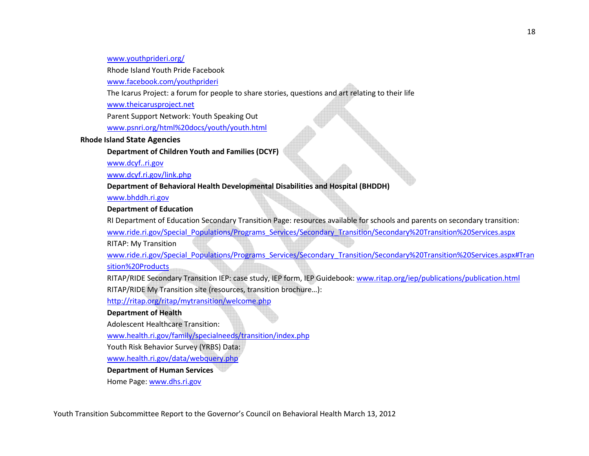#### www.youthprideri.org/

Rhode Island Youth Pride Facebook

www.facebook.com/youthprideri

The Icarus Project: a forum for people to share stories, questions and art relating to their life

www.theicarusproject.net

Parent Support Network: Youth Speaking Out

www.psnri.org/html%20docs/youth/youth.html

#### **Rhode Island State Agencies**

**Department of Children Youth and Families (DCYF)** 

www.dcyf..ri.gov

www.dcyf.ri.gov/link.php

#### **Department of Behavioral Health Developmental Disabilities and Hospital (BHDDH)**

www.bhddh.ri.gov

#### **Department of Education**

RI Department of Education Secondary Transition Page: resources available for schools and parents on secondary transition: www.ride.ri.gov/Special\_Populations/Programs\_Services/Secondary\_Transition/Secondary%20Transition%20Services.aspx RITAP: My Transition

www.ride.ri.gov/Special\_Populations/Programs\_Services/Secondary\_Transition/Secondary%20Transition%20Services.aspx#Tran sition%20Products

RITAP/RIDE Secondary Transition IEP: case study, IEP form, IEP Guidebook: www.ritap.org/iep/publications/publication.htmlRITAP/RIDE My Transition site (resources, transition brochure…):

http://ritap.org/ritap/mytransition/welcome.php

### **Department of Health**

Adolescent Healthcare Transition:

www.health.ri.gov/family/specialneeds/transition/index.php

Youth Risk Behavior Survey (YRBS) Data:

www.health.ri.gov/data/webquery.php

**Department of Human Services** 

Home Page: www.dhs.ri.gov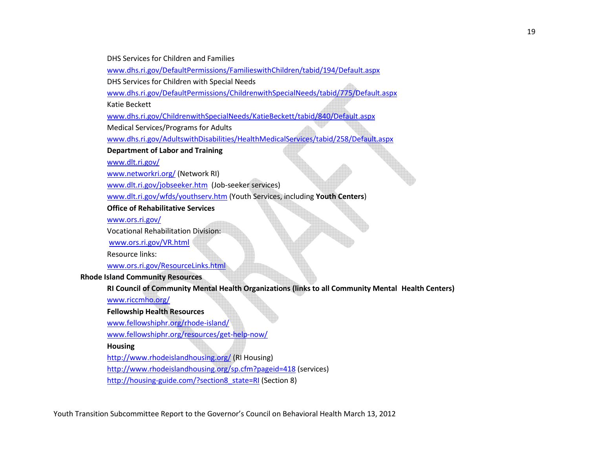DHS Services for Children and Families

www.dhs.ri.gov/DefaultPermissions/FamilieswithChildren/tabid/194/Default.aspx

DHS Services for Children with Special Needs

www.dhs.ri.gov/DefaultPermissions/ChildrenwithSpecialNeeds/tabid/775/Default.aspx

Katie Beckett

www.dhs.ri.gov/ChildrenwithSpecialNeeds/KatieBeckett/tabid/840/Default.aspx

Medical Services/Programs for Adults

www.dhs.ri.gov/AdultswithDisabilities/HealthMedicalServices/tabid/258/Default.aspx

**Department of Labor and Training** 

www.dlt.ri.gov/

www.networkri.org/ (Network RI)

www.dlt.ri.gov/jobseeker.htm (Job-seeker services)

www.dlt.ri.gov/wfds/youthserv.htm (Youth Services, including **Youth Centers**)

**Office of Rehabilitative Services** 

www.ors.ri.gov/

Vocational Rehabilitation Division:

www.ors.ri.gov/VR.html

Resource links:

www.ors.ri.gov/ResourceLinks.html

**Rhode Island Community Resources** 

 **RI Council of Community Mental Health Organizations (links to all Community Mental Health Centers)** 

www.riccmho.org/

 **Fellowship Health Resources** 

www.fellowshiphr.org/rhode-island/

www.fellowshiphr.org/resources/get-help-now/

 **Housing** 

http://www.rhodeislandhousing.org/ (RI Housing)

http://www.rhodeislandhousing.org/sp.cfm?pageid=418 (services)

http://housing-guide.com/?section8\_state=RI (Section 8)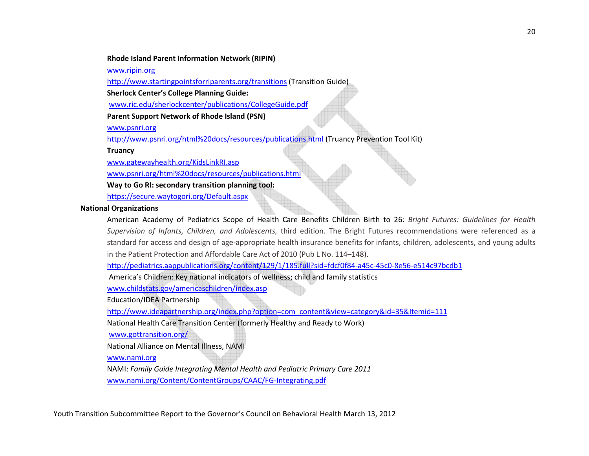#### **Rhode Island Parent Information Network (RIPIN)**

www.ripin.org

http://www.startingpointsforriparents.org/transitions (Transition Guide)

**Sherlock Center's College Planning Guide:**

www.ric.edu/sherlockcenter/publications/CollegeGuide.pdf

**Parent Support Network of Rhode Island (PSN)** 

www.psnri.org

http://www.psnri.org/html%20docs/resources/publications.html (Truancy Prevention Tool Kit)

**Truancy** 

www.gatewayhealth.org/KidsLinkRI.asp

www.psnri.org/html%20docs/resources/publications.html

**Way to Go RI: secondary transition planning tool:** 

https://secure.waytogori.org/Default.aspx

#### **National Organizations**

American Academy of Pediatrics Scope of Health Care Benefits Children Birth to 26: *Bright Futures: Guidelines for Health Supervision of Infants, Children, and Adolescents,* third edition. The Bright Futures recommendations were referenced as a standard for access and design of age-appropriate health insurance benefits for infants, children, adolescents, and young adults in the Patient Protection and Affordable Care Act of 2010 (Pub L No. 114–148).

http://pediatrics.aappublications.org/content/129/1/185.full?sid=fdcf0f84-a45c-45c0-8e56-e514c97bcdb1

America's Children: Key national indicators of wellness; child and family statistics

www.childstats.gov/americaschildren/index.asp

Education/IDEA Partnership

http://www.ideapartnership.org/index.php?option=com\_content&view=category&id=35&Itemid=111

National Health Care Transition Center (formerly Healthy and Ready to Work)

www.gottransition.org/

National Alliance on Mental Illness, NAMI

www.nami.org

NAMI: *Family Guide Integrating Mental Health and Pediatric Primary Care 2011* www.nami.org/Content/ContentGroups/CAAC/FG-Integrating.pdf